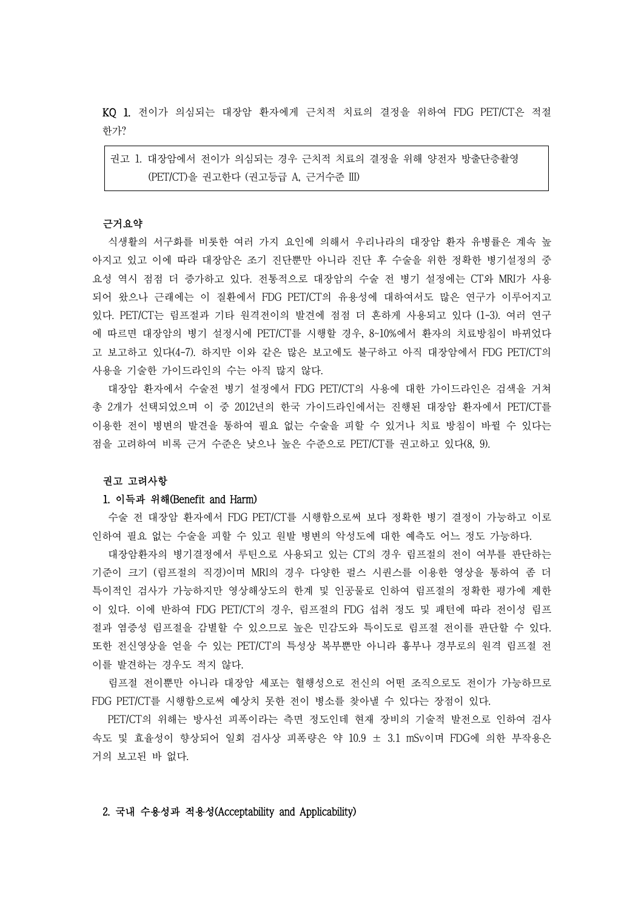KQ 1. 전이가 의심되는 대장암 환자에게 근치적 치료의 결정을 위하여 FDG PET/CT은 적절 한가?

권고 1. 대장암에서 전이가 의심되는 경우 근치적 치료의 결정을 위해 양전자 방출단층촬영 (PET/CT)을 권고한다 (권고등급 A, 근거수준 III)

#### 근거요약

식생활의 서구화를 비롯한 여러 가지 요인에 의해서 우리나라의 대장암 환자 유병률은 계속 높 아지고 있고 이에 따라 대장암은 조기 진단뿐만 아니라 진단 후 수술을 위한 정확한 병기설정의 중 요성 역시 점점 더 증가하고 있다. 전통적으로 대장암의 수술 전 병기 설정에는 CT와 MRI가 사용 되어 왔으나 근래에는 이 질환에서 FDG PET/CT의 유용성에 대하여서도 많은 연구가 이루어지고 있다. PET/CT는 림프절과 기타 원격전이의 발견에 점점 더 흔하게 사용되고 있다 (1-3). 여러 연구 에 따르면 대장암의 병기 설정시에 PET/CT를 시행할 경우, 8~10%에서 환자의 치료방침이 바뀌었다 고 보고하고 있다(4-7). 하지만 이와 같은 많은 보고에도 불구하고 아직 대장암에서 FDG PET/CT의 사용을 기술한 가이드라인의 수는 아직 많지 않다.<br>대장암 환자에서 수술전 병기 설정에서 FDG PET/CT의 사용에 대한 가이드라인은 검색을 거쳐

총 2개가 선택되었으며 이 중 2012년의 한국 가이드라인에서는 진행된 대장암 환자에서 PET/CT를 이용한 전이 병변의 발견을 통하여 필요 없는 수술을 피할 수 있거나 치료 방침이 바뀔 수 있다는 점을 고려하여 비록 근거 수준은 낮으나 높은 수준으로 PET/CT를 권고하고 있다(8, 9).

# 권고 고려사항

### 1. 이득과 위해(Benefit and Harm)

수술 전 대장암 환자에서 FDG PET/CT를 시행함으로써 보다 정확한 병기 결정이 가능하고 이로 인하여 필요 없는 수술을 피할 수 있고 원발 병변의 악성도에 대한 예측도 어느 정도 가능하다.

대장암환자의 병기결정에서 루틴으로 사용되고 있는 CT의 경우 림프절의 전이 여부를 판단하는 기준이 크기 (림프절의 직경)이며 MRI의 경우 다양한 펄스 시퀀스를 이용한 영상을 통하여 좀 더 특이적인 검사가 가능하지만 영상해상도의 한계 및 인공물로 인하여 림프절의 정확한 평가에 제한 이 있다. 이에 반하여 FDG PET/CT의 경우, 림프절의 FDG 섭취 정도 및 패턴에 따라 전이성 림프 절과 염증성 림프절을 감별할 수 있으므로 높은 민감도와 특이도로 림프절 전이를 판단할 수 있다.<br>또한 전신영상을 얻을 수 있는 PET/CT의 특성상 복부뿐만 아니라 흉부나 경부로의 원격 림프절 전 이를 발견하는 경우도 적지 않다.

림프절 전이뿐만 아니라 대장암 세포는 혈행성으로 전신의 어떤 조직으로도 전이가 가능하므로 FDG PET/CT를 시행함으로써 예상치 못한 전이 병소를 찾아낼 수 있다는 장점이 있다.

PET/CT의 위해는 방사선 피폭이라는 측면 정도인데 현재 장비의 기술적 발전으로 인하여 검사 속도 및 효율성이 향상되어 일회 검사상 피폭량은 약 10.9 ± 3.1 mSv이며 FDG에 의한 부작용은 거의 보고된 바 없다.

# 2. 국내 수용성과 적용성(Acceptability and Applicability)